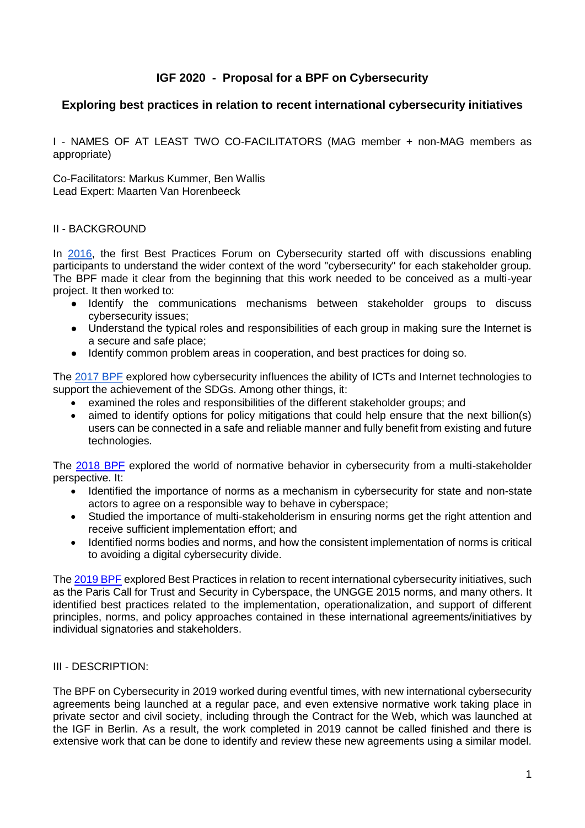# **IGF 2020 - Proposal for a BPF on Cybersecurity**

## **Exploring best practices in relation to recent international cybersecurity initiatives**

I - NAMES OF AT LEAST TWO CO-FACILITATORS (MAG member + non-MAG members as appropriate)

Co-Facilitators: Markus Kummer, Ben Wallis Lead Expert: Maarten Van Horenbeeck

#### II - BACKGROUND

In [2016,](https://www.intgovforum.org/multilingual/content/bpf-cybersecurity-2016) the first Best Practices Forum on Cybersecurity started off with discussions enabling participants to understand the wider context of the word "cybersecurity" for each stakeholder group. The BPF made it clear from the beginning that this work needed to be conceived as a multi-year project. It then worked to:

- Identify the communications mechanisms between stakeholder groups to discuss cybersecurity issues;
- Understand the typical roles and responsibilities of each group in making sure the Internet is a secure and safe place;
- Identify common problem areas in cooperation, and best practices for doing so.

The [2017 BPF](https://www.intgovforum.org/multilingual/content/bpf-cybersecurity-2017) explored how cybersecurity influences the ability of ICTs and Internet technologies to support the achievement of the SDGs. Among other things, it:

- examined the roles and responsibilities of the different stakeholder groups; and
- aimed to identify options for policy mitigations that could help ensure that the next billion(s) users can be connected in a safe and reliable manner and fully benefit from existing and future technologies.

The [2018 BPF](https://www.intgovforum.org/multilingual/content/bpf-cybersecurity-2018) explored the world of normative behavior in cybersecurity from a multi-stakeholder perspective. It:

- Identified the importance of norms as a mechanism in cybersecurity for state and non-state actors to agree on a responsible way to behave in cyberspace;
- Studied the importance of multi-stakeholderism in ensuring norms get the right attention and receive sufficient implementation effort; and
- Identified norms bodies and norms, and how the consistent implementation of norms is critical to avoiding a digital cybersecurity divide.

Th[e 2019 BPF](https://www.intgovforum.org/multilingual/content/bpf-cybersecurity) explored Best Practices in relation to recent international cybersecurity initiatives, such as the Paris Call for Trust and Security in Cyberspace, the UNGGE 2015 norms, and many others. It identified best practices related to the implementation, operationalization, and support of different principles, norms, and policy approaches contained in these international agreements/initiatives by individual signatories and stakeholders.

### III - DESCRIPTION:

The BPF on Cybersecurity in 2019 worked during eventful times, with new international cybersecurity agreements being launched at a regular pace, and even extensive normative work taking place in private sector and civil society, including through the Contract for the Web, which was launched at the IGF in Berlin. As a result, the work completed in 2019 cannot be called finished and there is extensive work that can be done to identify and review these new agreements using a similar model.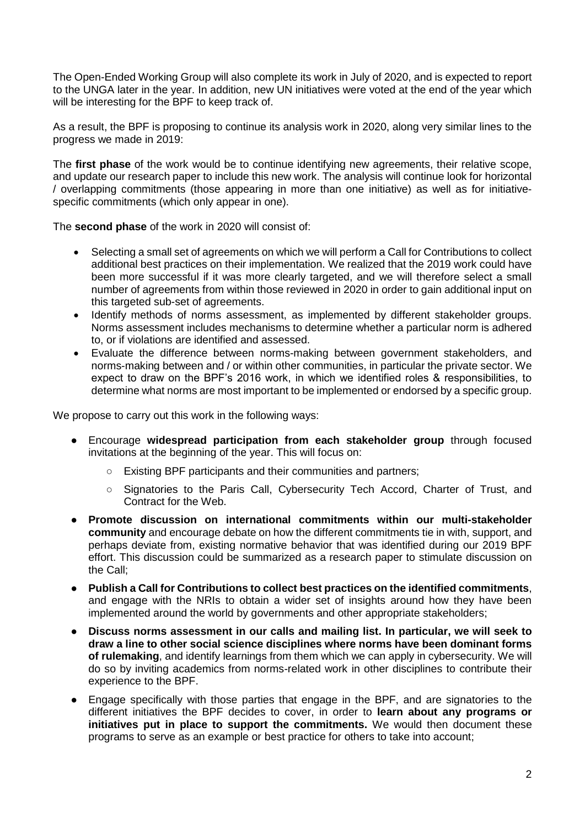The Open-Ended Working Group will also complete its work in July of 2020, and is expected to report to the UNGA later in the year. In addition, new UN initiatives were voted at the end of the year which will be interesting for the BPF to keep track of.

As a result, the BPF is proposing to continue its analysis work in 2020, along very similar lines to the progress we made in 2019:

The **first phase** of the work would be to continue identifying new agreements, their relative scope, and update our research paper to include this new work. The analysis will continue look for horizontal / overlapping commitments (those appearing in more than one initiative) as well as for initiativespecific commitments (which only appear in one).

The **second phase** of the work in 2020 will consist of:

- Selecting a small set of agreements on which we will perform a Call for Contributions to collect additional best practices on their implementation. We realized that the 2019 work could have been more successful if it was more clearly targeted, and we will therefore select a small number of agreements from within those reviewed in 2020 in order to gain additional input on this targeted sub-set of agreements.
- Identify methods of norms assessment, as implemented by different stakeholder groups. Norms assessment includes mechanisms to determine whether a particular norm is adhered to, or if violations are identified and assessed.
- Evaluate the difference between norms-making between government stakeholders, and norms-making between and / or within other communities, in particular the private sector. We expect to draw on the BPF's 2016 work, in which we identified roles & responsibilities, to determine what norms are most important to be implemented or endorsed by a specific group.

We propose to carry out this work in the following ways:

- Encourage widespread participation from each stakeholder group through focused invitations at the beginning of the year. This will focus on:
	- Existing BPF participants and their communities and partners;
	- Signatories to the Paris Call, Cybersecurity Tech Accord, Charter of Trust, and Contract for the Web.
- **Promote discussion on international commitments within our multi-stakeholder community** and encourage debate on how the different commitments tie in with, support, and perhaps deviate from, existing normative behavior that was identified during our 2019 BPF effort. This discussion could be summarized as a research paper to stimulate discussion on the Call;
- **Publish a Call for Contributions to collect best practices on the identified commitments**, and engage with the NRIs to obtain a wider set of insights around how they have been implemented around the world by governments and other appropriate stakeholders;
- **Discuss norms assessment in our calls and mailing list. In particular, we will seek to draw a line to other social science disciplines where norms have been dominant forms of rulemaking**, and identify learnings from them which we can apply in cybersecurity. We will do so by inviting academics from norms-related work in other disciplines to contribute their experience to the BPF.
- Engage specifically with those parties that engage in the BPF, and are signatories to the different initiatives the BPF decides to cover, in order to **learn about any programs or initiatives put in place to support the commitments.** We would then document these programs to serve as an example or best practice for others to take into account;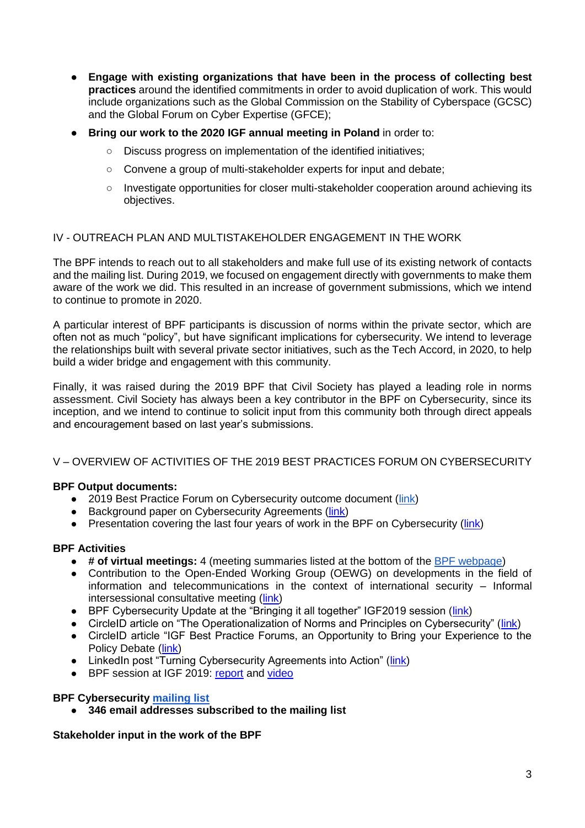- **Engage with existing organizations that have been in the process of collecting best practices** around the identified commitments in order to avoid duplication of work. This would include organizations such as the Global Commission on the Stability of Cyberspace (GCSC) and the Global Forum on Cyber Expertise (GFCE);
- **Bring our work to the 2020 IGF annual meeting in Poland** in order to:
	- Discuss progress on implementation of the identified initiatives;
	- Convene a group of multi-stakeholder experts for input and debate;
	- Investigate opportunities for closer multi-stakeholder cooperation around achieving its objectives.

### IV - OUTREACH PLAN AND MULTISTAKEHOLDER ENGAGEMENT IN THE WORK

The BPF intends to reach out to all stakeholders and make full use of its existing network of contacts and the mailing list. During 2019, we focused on engagement directly with governments to make them aware of the work we did. This resulted in an increase of government submissions, which we intend to continue to promote in 2020.

A particular interest of BPF participants is discussion of norms within the private sector, which are often not as much "policy", but have significant implications for cybersecurity. We intend to leverage the relationships built with several private sector initiatives, such as the Tech Accord, in 2020, to help build a wider bridge and engagement with this community.

Finally, it was raised during the 2019 BPF that Civil Society has played a leading role in norms assessment. Civil Society has always been a key contributor in the BPF on Cybersecurity, since its inception, and we intend to continue to solicit input from this community both through direct appeals and encouragement based on last year's submissions.

### V – OVERVIEW OF ACTIVITIES OF THE 2019 BEST PRACTICES FORUM ON CYBERSECURITY

### **BPF Output documents:**

- 2019 Best Practice Forum on Cybersecurity outcome document [\(link\)](https://www.intgovforum.org/multilingual/filedepot_download/8395/1896)
- Background paper on Cybersecurity Agreements [\(link\)](https://www.intgovforum.org/multilingual/filedepot_download/4904/1658)
- Presentation covering the last four years of work in the BPF on Cybersecurity [\(link\)](https://www.intgovforum.org/multilingual/filedepot_download/8395/1792)

# **BPF Activities**

- **# of virtual meetings:** 4 (meeting summaries listed at the bottom of the [BPF webpage\)](https://www.intgovforum.org/multilingual/content/bpf-cybersecurity)
- Contribution to the Open-Ended Working Group (OEWG) on developments in the field of information and telecommunications in the context of international security – Informal intersessional consultative meeting [\(link\)](https://www.intgovforum.org/multilingual/content/igf-2019-bpf-on-cybersecurity-contributes-to-un-oewg)
- BPF Cybersecurity Update at the "Bringing it all together" IGF2019 session [\(link\)](https://www.intgovforum.org/multilingual/filedepot_download/8395/1827)
- CircleID article on "The Operationalization of Norms and Principles on Cybersecurity" [\(link\)](http://www.circleid.com/posts/20190916_the_operationalization_of_norms_and_principles_on_cybersecurity/)
- CircleID article "IGF Best Practice Forums, an Opportunity to Bring your Experience to the Policy Debate [\(link\)](http://www.circleid.com/posts/20190913_igf_best_practice_forums_opportunity_to_bring_experience_to_debate/)
- LinkedIn post "Turning Cybersecurity Agreements into Action" [\(link\)](https://www.linkedin.com/pulse/turning-cybersecurity-agreements-actions-wim-degezelle)
- BPF session at IGF 2019: [report](https://www.intgovforum.org/multilingual/filedepot_download/8395/1805) and [video](https://www.youtube.com/watch?v=5Mk0AWXqqDQ)

### **BPF Cybersecurity [mailing list](http://www.intgovforum.org/mailman/listinfo/bp_cybersec_2016_intgovforum.org)**

● **346 email addresses subscribed to the mailing list** 

**Stakeholder input in the work of the BPF**